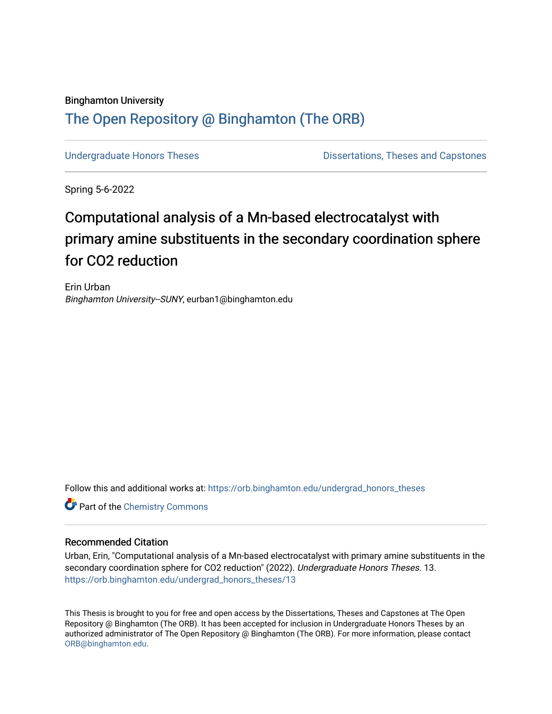# Binghamton University [The Open Repository @ Binghamton \(The ORB\)](https://orb.binghamton.edu/)

[Undergraduate Honors Theses](https://orb.binghamton.edu/undergrad_honors_theses) **Dissertations**, Theses and Capstones

Spring 5-6-2022

# Computational analysis of a Mn-based electrocatalyst with primary amine substituents in the secondary coordination sphere for CO2 reduction

Erin Urban Binghamton University--SUNY, eurban1@binghamton.edu

Follow this and additional works at: [https://orb.binghamton.edu/undergrad\\_honors\\_theses](https://orb.binghamton.edu/undergrad_honors_theses?utm_source=orb.binghamton.edu%2Fundergrad_honors_theses%2F13&utm_medium=PDF&utm_campaign=PDFCoverPages) 

**Part of the Chemistry Commons** 

#### Recommended Citation

Urban, Erin, "Computational analysis of a Mn-based electrocatalyst with primary amine substituents in the secondary coordination sphere for CO2 reduction" (2022). Undergraduate Honors Theses. 13. [https://orb.binghamton.edu/undergrad\\_honors\\_theses/13](https://orb.binghamton.edu/undergrad_honors_theses/13?utm_source=orb.binghamton.edu%2Fundergrad_honors_theses%2F13&utm_medium=PDF&utm_campaign=PDFCoverPages)

This Thesis is brought to you for free and open access by the Dissertations, Theses and Capstones at The Open Repository @ Binghamton (The ORB). It has been accepted for inclusion in Undergraduate Honors Theses by an authorized administrator of The Open Repository @ Binghamton (The ORB). For more information, please contact [ORB@binghamton.edu.](mailto:ORB@binghamton.edu)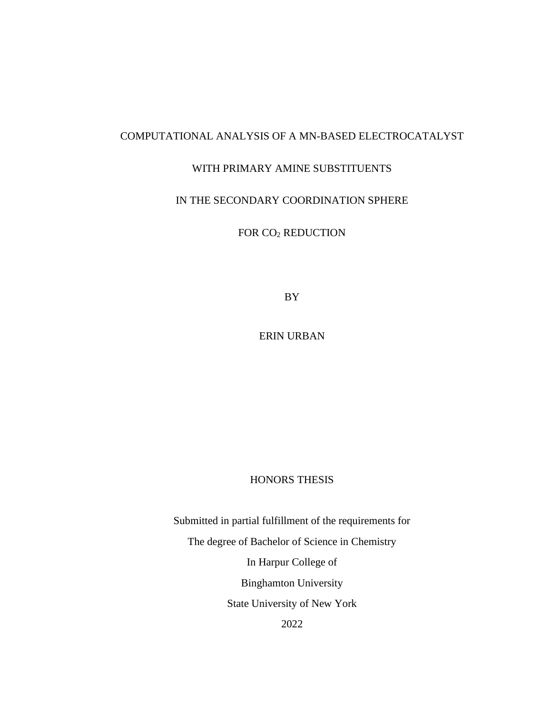# COMPUTATIONAL ANALYSIS OF A MN-BASED ELECTROCATALYST

### WITH PRIMARY AMINE SUBSTITUENTS

# IN THE SECONDARY COORDINATION SPHERE

FOR CO<sup>2</sup> REDUCTION

BY

ERIN URBAN

#### HONORS THESIS

Submitted in partial fulfillment of the requirements for The degree of Bachelor of Science in Chemistry In Harpur College of Binghamton University State University of New York 2022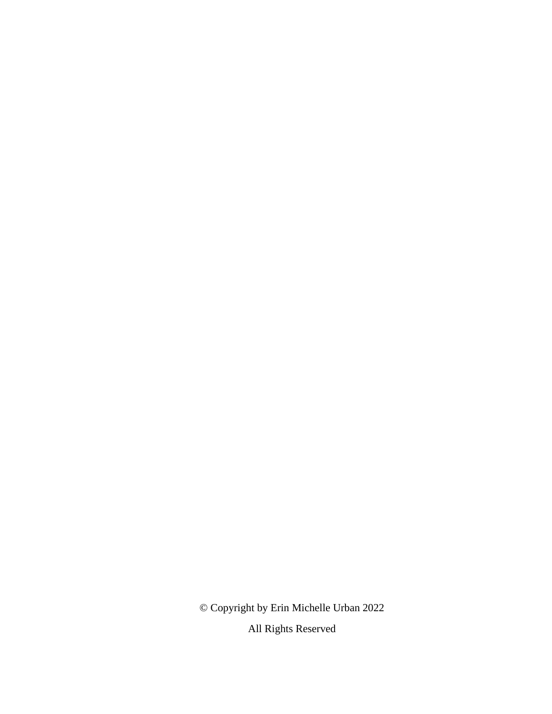© Copyright by Erin Michelle Urban 2022 All Rights Reserved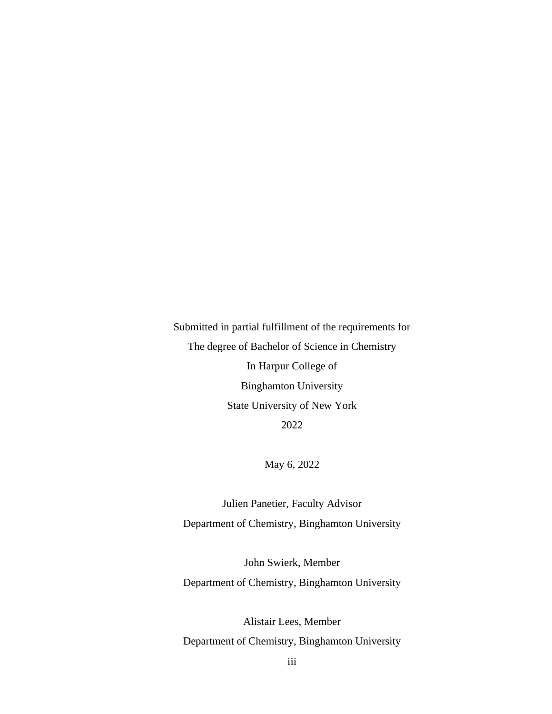Submitted in partial fulfillment of the requirements for The degree of Bachelor of Science in Chemistry In Harpur College of Binghamton University State University of New York 2022

May 6, 2022

Julien Panetier, Faculty Advisor Department of Chemistry, Binghamton University

John Swierk, Member Department of Chemistry, Binghamton University

Alistair Lees, Member Department of Chemistry, Binghamton University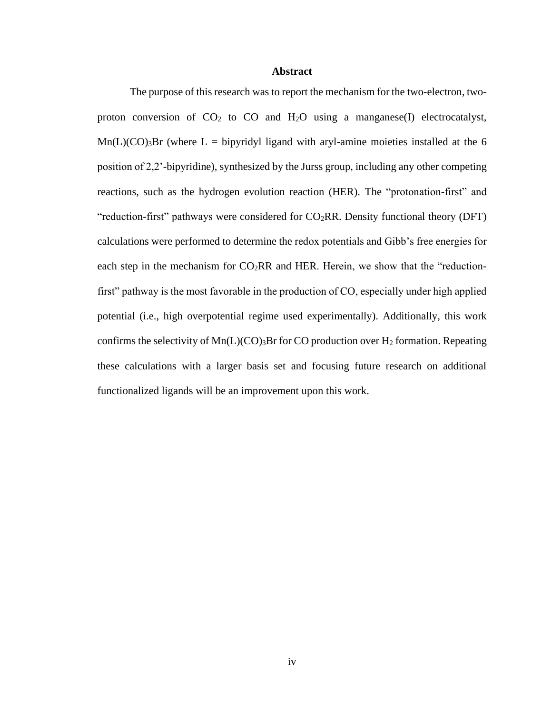#### **Abstract**

The purpose of this research was to report the mechanism for the two-electron, twoproton conversion of  $CO<sub>2</sub>$  to  $CO<sub>2</sub>$  and  $H<sub>2</sub>O$  using a manganese(I) electrocatalyst,  $Mn(L)(CO)<sub>3</sub>Br$  (where L = bipyridyl ligand with aryl-amine moieties installed at the 6 position of 2,2'-bipyridine), synthesized by the Jurss group, including any other competing reactions, such as the hydrogen evolution reaction (HER). The "protonation-first" and "reduction-first" pathways were considered for  $CO<sub>2</sub>RR$ . Density functional theory (DFT) calculations were performed to determine the redox potentials and Gibb's free energies for each step in the mechanism for  $CO<sub>2</sub>RR$  and HER. Herein, we show that the "reductionfirst" pathway is the most favorable in the production of CO, especially under high applied potential (i.e., high overpotential regime used experimentally). Additionally, this work confirms the selectivity of  $Mn(L)(CO)$ <sub>3</sub>Br for CO production over H<sub>2</sub> formation. Repeating these calculations with a larger basis set and focusing future research on additional functionalized ligands will be an improvement upon this work.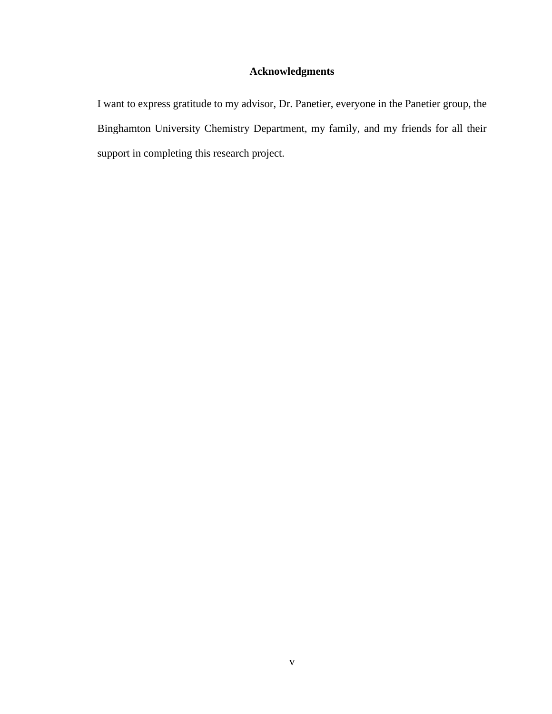# **Acknowledgments**

I want to express gratitude to my advisor, Dr. Panetier, everyone in the Panetier group, the Binghamton University Chemistry Department, my family, and my friends for all their support in completing this research project.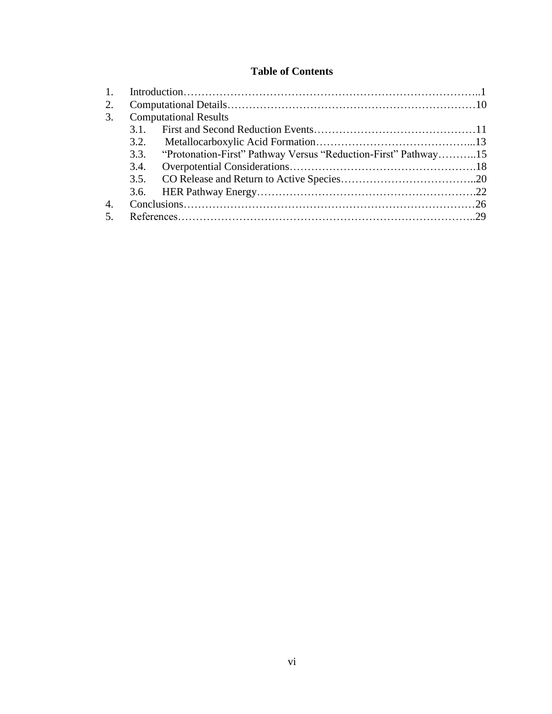# **Table of Contents**

| 1.               |      |                                                                     |  |
|------------------|------|---------------------------------------------------------------------|--|
| 2.               |      |                                                                     |  |
| 3.               |      | <b>Computational Results</b>                                        |  |
|                  |      |                                                                     |  |
|                  |      |                                                                     |  |
|                  |      | 3.3. "Protonation-First" Pathway Versus "Reduction-First" Pathway15 |  |
|                  | 3.4. |                                                                     |  |
|                  |      |                                                                     |  |
|                  |      |                                                                     |  |
| $\overline{4}$ . |      |                                                                     |  |
| $-5$             |      |                                                                     |  |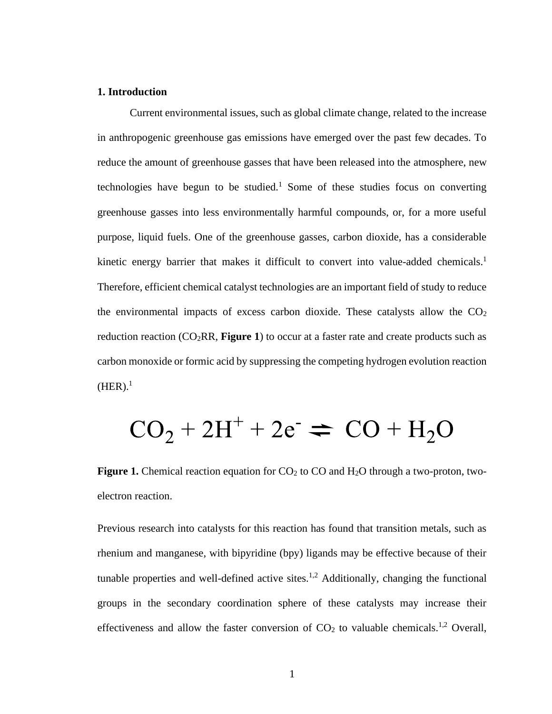#### **1. Introduction**

Current environmental issues, such as global climate change, related to the increase in anthropogenic greenhouse gas emissions have emerged over the past few decades. To reduce the amount of greenhouse gasses that have been released into the atmosphere, new technologies have begun to be studied.<sup>1</sup> Some of these studies focus on converting greenhouse gasses into less environmentally harmful compounds, or, for a more useful purpose, liquid fuels. One of the greenhouse gasses, carbon dioxide, has a considerable kinetic energy barrier that makes it difficult to convert into value-added chemicals.<sup>1</sup> Therefore, efficient chemical catalyst technologies are an important field of study to reduce the environmental impacts of excess carbon dioxide. These catalysts allow the  $CO<sub>2</sub>$ reduction reaction  $(CO_2RR,$  **Figure 1**) to occur at a faster rate and create products such as carbon monoxide or formic acid by suppressing the competing hydrogen evolution reaction  $(HER).<sup>1</sup>$ 

# $CO<sub>2</sub> + 2H<sup>+</sup> + 2e<sup>-</sup> \rightleftharpoons CO + H<sub>2</sub>O$

**Figure 1.** Chemical reaction equation for CO<sub>2</sub> to CO and H<sub>2</sub>O through a two-proton, twoelectron reaction.

Previous research into catalysts for this reaction has found that transition metals, such as rhenium and manganese, with bipyridine (bpy) ligands may be effective because of their tunable properties and well-defined active sites.<sup>1,2</sup> Additionally, changing the functional groups in the secondary coordination sphere of these catalysts may increase their effectiveness and allow the faster conversion of  $CO<sub>2</sub>$  to valuable chemicals.<sup>1,2</sup> Overall,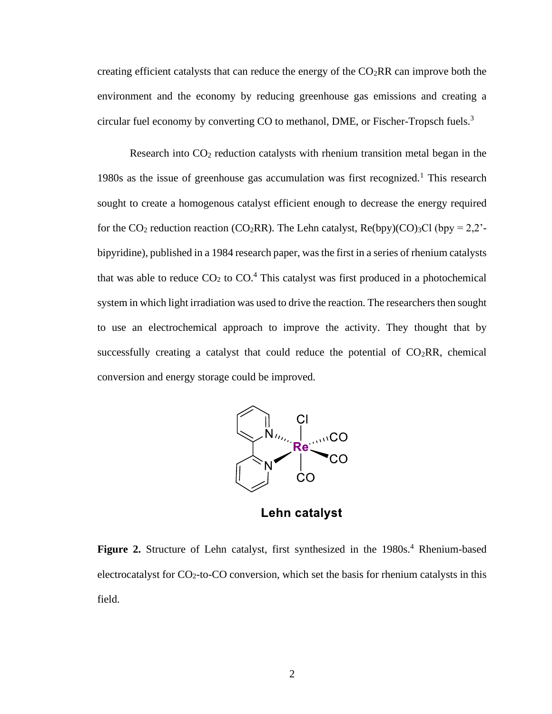creating efficient catalysts that can reduce the energy of the  $CO<sub>2</sub>RR$  can improve both the environment and the economy by reducing greenhouse gas emissions and creating a circular fuel economy by converting CO to methanol, DME, or Fischer-Tropsch fuels.<sup>3</sup>

Research into  $CO<sub>2</sub>$  reduction catalysts with rhenium transition metal began in the 1980s as the issue of greenhouse gas accumulation was first recognized.<sup>1</sup> This research sought to create a homogenous catalyst efficient enough to decrease the energy required for the CO<sub>2</sub> reduction reaction (CO<sub>2</sub>RR). The Lehn catalyst, Re(bpy)(CO)<sub>3</sub>Cl (bpy = 2,2'bipyridine), published in a 1984 research paper, was the first in a series of rhenium catalysts that was able to reduce  $CO<sub>2</sub>$  to  $CO<sub>2</sub><sup>4</sup>$  This catalyst was first produced in a photochemical system in which light irradiation was used to drive the reaction. The researchers then sought to use an electrochemical approach to improve the activity. They thought that by successfully creating a catalyst that could reduce the potential of  $CO<sub>2</sub>RR$ , chemical conversion and energy storage could be improved.



Lehn catalyst

**Figure 2.** Structure of Lehn catalyst, first synthesized in the 1980s.<sup>4</sup> Rhenium-based electrocatalyst for CO<sub>2</sub>-to-CO conversion, which set the basis for rhenium catalysts in this field.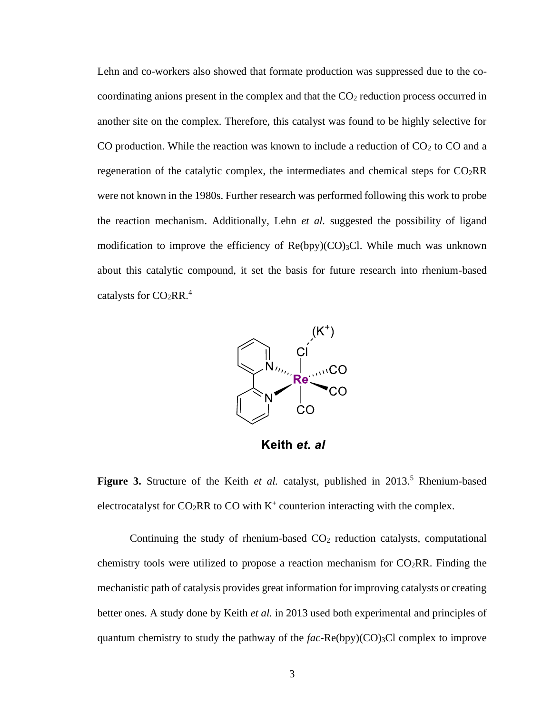Lehn and co-workers also showed that formate production was suppressed due to the cocoordinating anions present in the complex and that the  $CO<sub>2</sub>$  reduction process occurred in another site on the complex. Therefore, this catalyst was found to be highly selective for CO production. While the reaction was known to include a reduction of  $CO<sub>2</sub>$  to CO and a regeneration of the catalytic complex, the intermediates and chemical steps for  $CO<sub>2</sub>RR$ were not known in the 1980s. Further research was performed following this work to probe the reaction mechanism. Additionally, Lehn *et al.* suggested the possibility of ligand modification to improve the efficiency of  $Re(bpy)(CO)<sub>3</sub>Cl$ . While much was unknown about this catalytic compound, it set the basis for future research into rhenium-based catalysts for  $CO<sub>2</sub>RR.<sup>4</sup>$ 



Keith et. al

Figure 3. Structure of the Keith *et al.* catalyst, published in 2013.<sup>5</sup> Rhenium-based electrocatalyst for  $CO_2RR$  to CO with  $K^+$  counterion interacting with the complex.

Continuing the study of rhenium-based CO<sub>2</sub> reduction catalysts, computational chemistry tools were utilized to propose a reaction mechanism for  $CO<sub>2</sub>RR$ . Finding the mechanistic path of catalysis provides great information for improving catalysts or creating better ones. A study done by Keith *et al.* in 2013 used both experimental and principles of quantum chemistry to study the pathway of the  $fac\text{-}Re(bpy)(CO)_{3}Cl$  complex to improve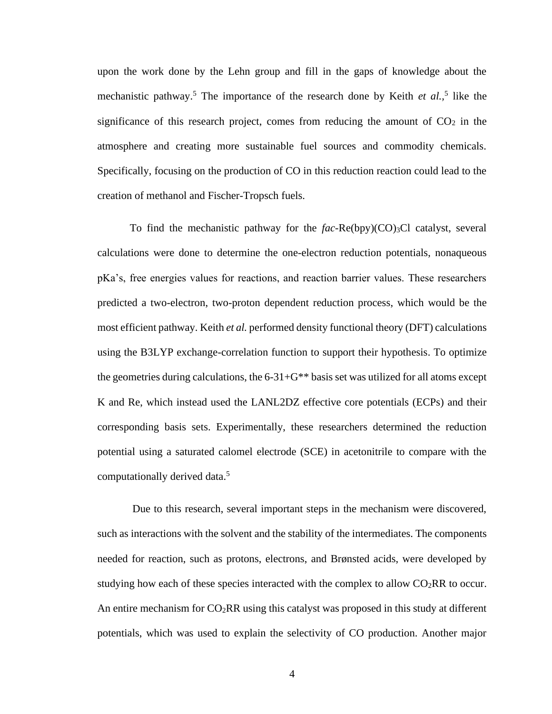upon the work done by the Lehn group and fill in the gaps of knowledge about the mechanistic pathway.<sup>5</sup> The importance of the research done by Keith *et al.,*<sup>5</sup> like the significance of this research project, comes from reducing the amount of  $CO<sub>2</sub>$  in the atmosphere and creating more sustainable fuel sources and commodity chemicals. Specifically, focusing on the production of CO in this reduction reaction could lead to the creation of methanol and Fischer-Tropsch fuels.

To find the mechanistic pathway for the *fac*-Re(bpy)(CO)<sub>3</sub>Cl catalyst, several calculations were done to determine the one-electron reduction potentials, nonaqueous pKa's, free energies values for reactions, and reaction barrier values. These researchers predicted a two-electron, two-proton dependent reduction process, which would be the most efficient pathway. Keith *et al.* performed density functional theory (DFT) calculations using the B3LYP exchange-correlation function to support their hypothesis. To optimize the geometries during calculations, the  $6-31+G^{**}$  basis set was utilized for all atoms except K and Re, which instead used the LANL2DZ effective core potentials (ECPs) and their corresponding basis sets. Experimentally, these researchers determined the reduction potential using a saturated calomel electrode (SCE) in acetonitrile to compare with the computationally derived data.<sup>5</sup>

Due to this research, several important steps in the mechanism were discovered, such as interactions with the solvent and the stability of the intermediates. The components needed for reaction, such as protons, electrons, and Brønsted acids, were developed by studying how each of these species interacted with the complex to allow  $CO<sub>2</sub>RR$  to occur. An entire mechanism for  $CO<sub>2</sub>RR$  using this catalyst was proposed in this study at different potentials, which was used to explain the selectivity of CO production. Another major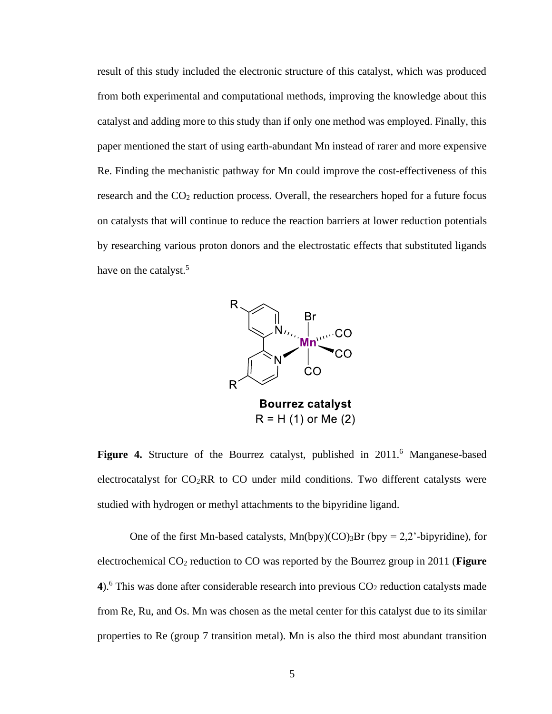result of this study included the electronic structure of this catalyst, which was produced from both experimental and computational methods, improving the knowledge about this catalyst and adding more to this study than if only one method was employed. Finally, this paper mentioned the start of using earth-abundant Mn instead of rarer and more expensive Re. Finding the mechanistic pathway for Mn could improve the cost-effectiveness of this research and the CO<sub>2</sub> reduction process. Overall, the researchers hoped for a future focus on catalysts that will continue to reduce the reaction barriers at lower reduction potentials by researching various proton donors and the electrostatic effects that substituted ligands have on the catalyst.<sup>5</sup>



**Figure 4.** Structure of the Bourrez catalyst, published in 2011.<sup>6</sup> Manganese-based electrocatalyst for  $CO<sub>2</sub>RR$  to  $CO$  under mild conditions. Two different catalysts were studied with hydrogen or methyl attachments to the bipyridine ligand.

One of the first Mn-based catalysts,  $Mn(bpy)(CO)$ <sub>3</sub>Br (bpy = 2,2'-bipyridine), for electrochemical CO<sup>2</sup> reduction to CO was reported by the Bourrez group in 2011 (**Figure**  4).<sup>6</sup> This was done after considerable research into previous  $CO<sub>2</sub>$  reduction catalysts made from Re, Ru, and Os. Mn was chosen as the metal center for this catalyst due to its similar properties to Re (group 7 transition metal). Mn is also the third most abundant transition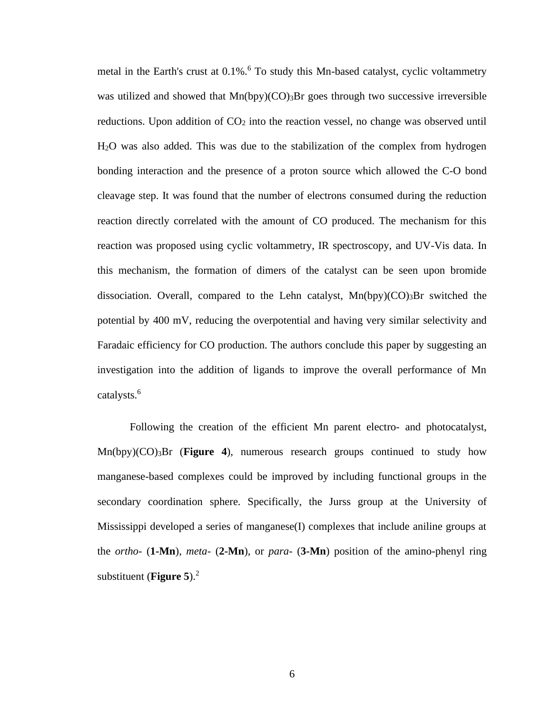metal in the Earth's crust at  $0.1\%$ .<sup>6</sup> To study this Mn-based catalyst, cyclic voltammetry was utilized and showed that  $Mn(bpy)(CO)$ <sub>3</sub>Br goes through two successive irreversible reductions. Upon addition of  $CO<sub>2</sub>$  into the reaction vessel, no change was observed until H2O was also added. This was due to the stabilization of the complex from hydrogen bonding interaction and the presence of a proton source which allowed the C-O bond cleavage step. It was found that the number of electrons consumed during the reduction reaction directly correlated with the amount of CO produced. The mechanism for this reaction was proposed using cyclic voltammetry, IR spectroscopy, and UV-Vis data. In this mechanism, the formation of dimers of the catalyst can be seen upon bromide dissociation. Overall, compared to the Lehn catalyst,  $Mn(bpy)(CO)$ <sub>3</sub>Br switched the potential by 400 mV, reducing the overpotential and having very similar selectivity and Faradaic efficiency for CO production. The authors conclude this paper by suggesting an investigation into the addition of ligands to improve the overall performance of Mn catalysts.<sup>6</sup>

Following the creation of the efficient Mn parent electro- and photocatalyst,  $Mn(bpy)(CO)$ <sub>3</sub>Br (**Figure 4**), numerous research groups continued to study how manganese-based complexes could be improved by including functional groups in the secondary coordination sphere. Specifically, the Jurss group at the University of Mississippi developed a series of manganese(I) complexes that include aniline groups at the *ortho-* (**1-Mn**), *meta-* (**2-Mn**), or *para-* (**3-Mn**) position of the amino-phenyl ring substituent (**Figure 5**).<sup>2</sup>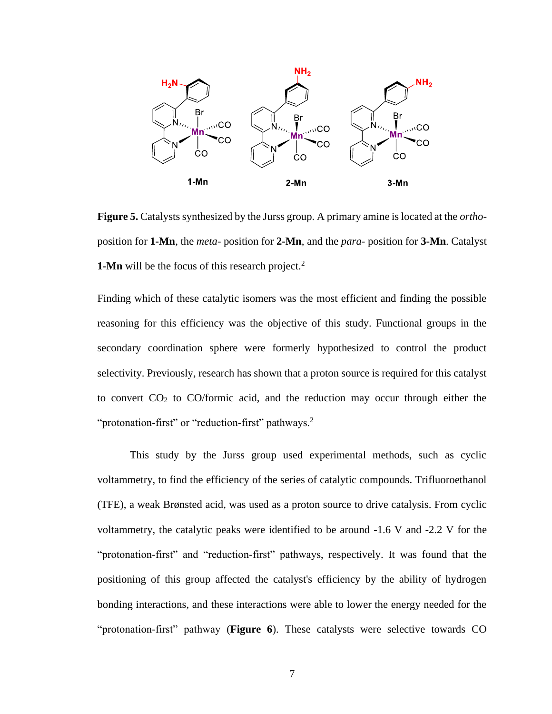

**Figure 5.** Catalysts synthesized by the Jurss group. A primary amine is located at the *ortho*position for **1-Mn**, the *meta-* position for **2-Mn**, and the *para-* position for **3-Mn**. Catalyst **1-Mn** will be the focus of this research project.<sup>2</sup>

Finding which of these catalytic isomers was the most efficient and finding the possible reasoning for this efficiency was the objective of this study. Functional groups in the secondary coordination sphere were formerly hypothesized to control the product selectivity. Previously, research has shown that a proton source is required for this catalyst to convert  $CO<sub>2</sub>$  to  $CO$ /formic acid, and the reduction may occur through either the "protonation-first" or "reduction-first" pathways. $2$ 

This study by the Jurss group used experimental methods, such as cyclic voltammetry, to find the efficiency of the series of catalytic compounds. Trifluoroethanol (TFE), a weak Brønsted acid, was used as a proton source to drive catalysis. From cyclic voltammetry, the catalytic peaks were identified to be around -1.6 V and -2.2 V for the "protonation-first" and "reduction-first" pathways, respectively. It was found that the positioning of this group affected the catalyst's efficiency by the ability of hydrogen bonding interactions, and these interactions were able to lower the energy needed for the "protonation-first" pathway (**Figure 6**). These catalysts were selective towards CO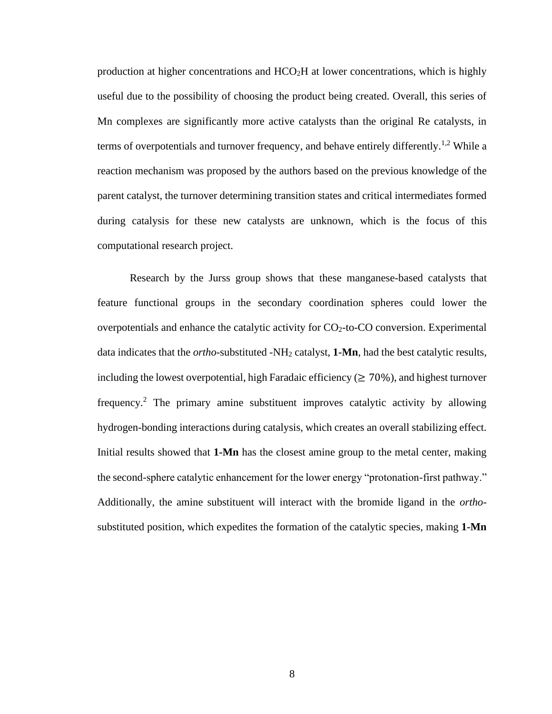production at higher concentrations and HCO2H at lower concentrations, which is highly useful due to the possibility of choosing the product being created. Overall, this series of Mn complexes are significantly more active catalysts than the original Re catalysts, in terms of overpotentials and turnover frequency, and behave entirely differently.<sup>1,2</sup> While a reaction mechanism was proposed by the authors based on the previous knowledge of the parent catalyst, the turnover determining transition states and critical intermediates formed during catalysis for these new catalysts are unknown, which is the focus of this computational research project.

Research by the Jurss group shows that these manganese-based catalysts that feature functional groups in the secondary coordination spheres could lower the overpotentials and enhance the catalytic activity for  $CO<sub>2</sub>$ -to-CO conversion. Experimental data indicates that the *ortho-*substituted -NH<sup>2</sup> catalyst, **1-Mn**, had the best catalytic results, including the lowest overpotential, high Faradaic efficiency ( $\geq 70\%$ ), and highest turnover frequency.<sup>2</sup> The primary amine substituent improves catalytic activity by allowing hydrogen-bonding interactions during catalysis, which creates an overall stabilizing effect. Initial results showed that **1-Mn** has the closest amine group to the metal center, making the second-sphere catalytic enhancement for the lower energy "protonation-first pathway." Additionally, the amine substituent will interact with the bromide ligand in the *ortho*substituted position, which expedites the formation of the catalytic species, making **1-Mn**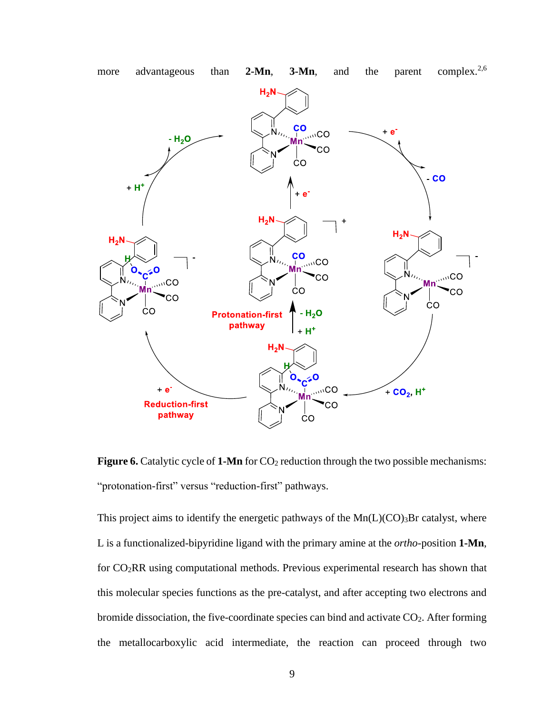

**Figure 6.** Catalytic cycle of **1-Mn** for CO<sub>2</sub> reduction through the two possible mechanisms: "protonation-first" versus "reduction-first" pathways.

This project aims to identify the energetic pathways of the  $Mn(L)(CO)$ <sub>3</sub>Br catalyst, where L is a functionalized-bipyridine ligand with the primary amine at the *ortho*-position **1-Mn**, for CO2RR using computational methods. Previous experimental research has shown that this molecular species functions as the pre-catalyst, and after accepting two electrons and bromide dissociation, the five-coordinate species can bind and activate  $CO<sub>2</sub>$ . After forming the metallocarboxylic acid intermediate, the reaction can proceed through two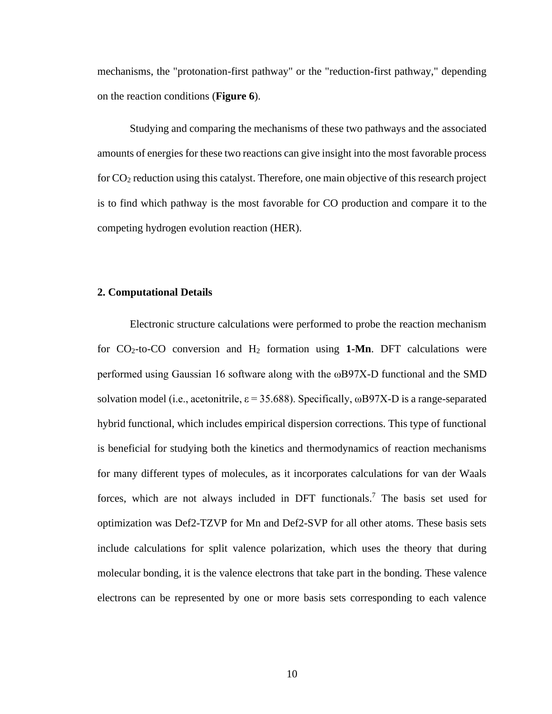mechanisms, the "protonation-first pathway" or the "reduction-first pathway," depending on the reaction conditions (**Figure 6**).

Studying and comparing the mechanisms of these two pathways and the associated amounts of energies for these two reactions can give insight into the most favorable process for CO<sup>2</sup> reduction using this catalyst. Therefore, one main objective of this research project is to find which pathway is the most favorable for CO production and compare it to the competing hydrogen evolution reaction (HER).

#### **2. Computational Details**

Electronic structure calculations were performed to probe the reaction mechanism for  $CO_2$ -to-CO conversion and  $H_2$  formation using **1-Mn**. DFT calculations were performed using Gaussian 16 software along with the ωB97X-D functional and the SMD solvation model (i.e., acetonitrile,  $\varepsilon$  = 35.688). Specifically,  $\omega$ B97X-D is a range-separated hybrid functional, which includes empirical dispersion corrections. This type of functional is beneficial for studying both the kinetics and thermodynamics of reaction mechanisms for many different types of molecules, as it incorporates calculations for van der Waals forces, which are not always included in DFT functionals. <sup>7</sup> The basis set used for optimization was Def2-TZVP for Mn and Def2-SVP for all other atoms. These basis sets include calculations for split valence polarization, which uses the theory that during molecular bonding, it is the valence electrons that take part in the bonding. These valence electrons can be represented by one or more basis sets corresponding to each valence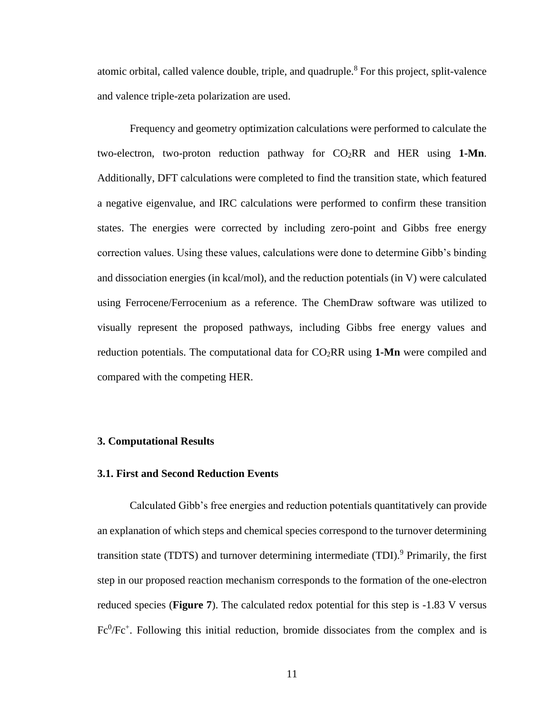atomic orbital, called valence double, triple, and quadruple.<sup>8</sup> For this project, split-valence and valence triple-zeta polarization are used.

Frequency and geometry optimization calculations were performed to calculate the two-electron, two-proton reduction pathway for  $CO<sub>2</sub>RR$  and HER using 1-Mn. Additionally, DFT calculations were completed to find the transition state, which featured a negative eigenvalue, and IRC calculations were performed to confirm these transition states. The energies were corrected by including zero-point and Gibbs free energy correction values. Using these values, calculations were done to determine Gibb's binding and dissociation energies (in kcal/mol), and the reduction potentials (in V) were calculated using Ferrocene/Ferrocenium as a reference. The ChemDraw software was utilized to visually represent the proposed pathways, including Gibbs free energy values and reduction potentials. The computational data for CO2RR using **1-Mn** were compiled and compared with the competing HER.

#### **3. Computational Results**

#### **3.1. First and Second Reduction Events**

Calculated Gibb's free energies and reduction potentials quantitatively can provide an explanation of which steps and chemical species correspond to the turnover determining transition state (TDTS) and turnover determining intermediate (TDI). <sup>9</sup> Primarily, the first step in our proposed reaction mechanism corresponds to the formation of the one-electron reduced species (**Figure 7**). The calculated redox potential for this step is -1.83 V versus  $Fe^{0}/Fe^{+}$ . Following this initial reduction, bromide dissociates from the complex and is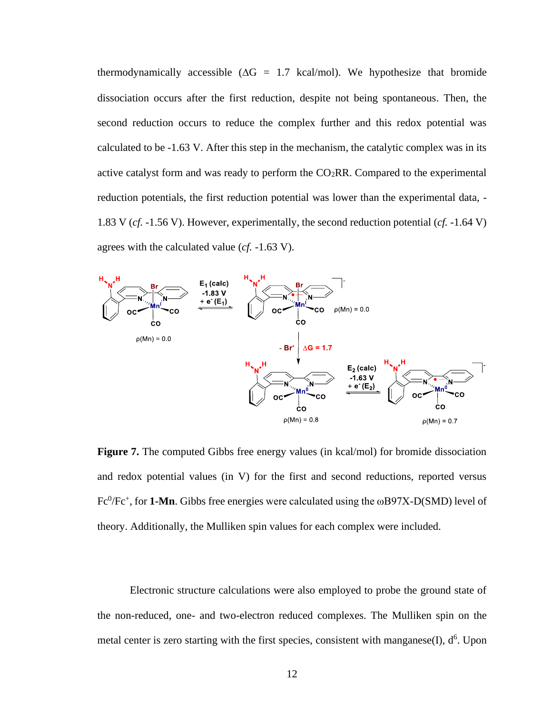thermodynamically accessible ( $\Delta G = 1.7$  kcal/mol). We hypothesize that bromide dissociation occurs after the first reduction, despite not being spontaneous. Then, the second reduction occurs to reduce the complex further and this redox potential was calculated to be -1.63 V. After this step in the mechanism, the catalytic complex was in its active catalyst form and was ready to perform the  $CO<sub>2</sub>RR$ . Compared to the experimental reduction potentials, the first reduction potential was lower than the experimental data, - 1.83 V (*cf.* -1.56 V). However, experimentally, the second reduction potential (*cf.* -1.64 V) agrees with the calculated value (*cf.* -1.63 V).



**Figure 7.** The computed Gibbs free energy values (in kcal/mol) for bromide dissociation and redox potential values (in V) for the first and second reductions, reported versus  $Fc^0/Fc^+$ , for **1-Mn**. Gibbs free energies were calculated using the  $\omega$ B97X-D(SMD) level of theory. Additionally, the Mulliken spin values for each complex were included.

Electronic structure calculations were also employed to probe the ground state of the non-reduced, one- and two-electron reduced complexes. The Mulliken spin on the metal center is zero starting with the first species, consistent with manganese $(I)$ ,  $d^6$ . Upon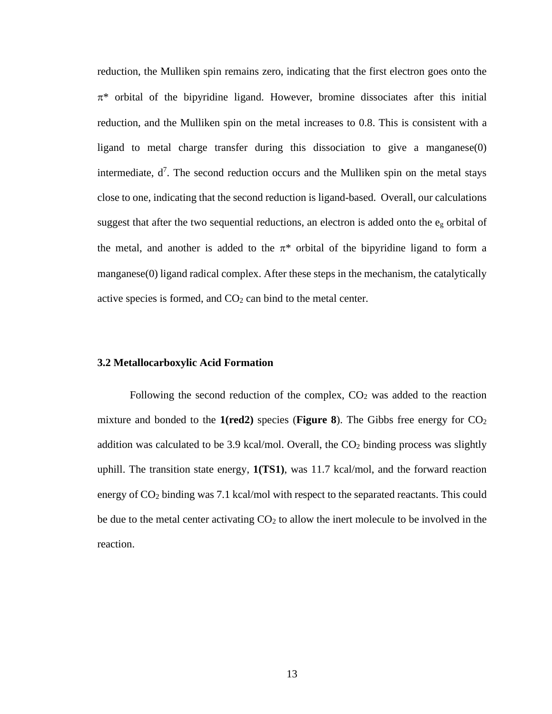reduction, the Mulliken spin remains zero, indicating that the first electron goes onto the  $\pi^*$  orbital of the bipyridine ligand. However, bromine dissociates after this initial reduction, and the Mulliken spin on the metal increases to 0.8. This is consistent with a ligand to metal charge transfer during this dissociation to give a manganese(0) intermediate,  $d^7$ . The second reduction occurs and the Mulliken spin on the metal stays close to one, indicating that the second reduction is ligand-based. Overall, our calculations suggest that after the two sequential reductions, an electron is added onto the  $e<sub>g</sub>$  orbital of the metal, and another is added to the  $\pi^*$  orbital of the bipyridine ligand to form a manganese(0) ligand radical complex. After these steps in the mechanism, the catalytically active species is formed, and  $CO<sub>2</sub>$  can bind to the metal center.

#### **3.2 Metallocarboxylic Acid Formation**

Following the second reduction of the complex,  $CO<sub>2</sub>$  was added to the reaction mixture and bonded to the  $1(\text{red2})$  species (**Figure 8**). The Gibbs free energy for  $CO<sub>2</sub>$ addition was calculated to be 3.9 kcal/mol. Overall, the  $CO<sub>2</sub>$  binding process was slightly uphill. The transition state energy, **1(TS1)**, was 11.7 kcal/mol, and the forward reaction energy of  $CO<sub>2</sub>$  binding was 7.1 kcal/mol with respect to the separated reactants. This could be due to the metal center activating  $CO<sub>2</sub>$  to allow the inert molecule to be involved in the reaction.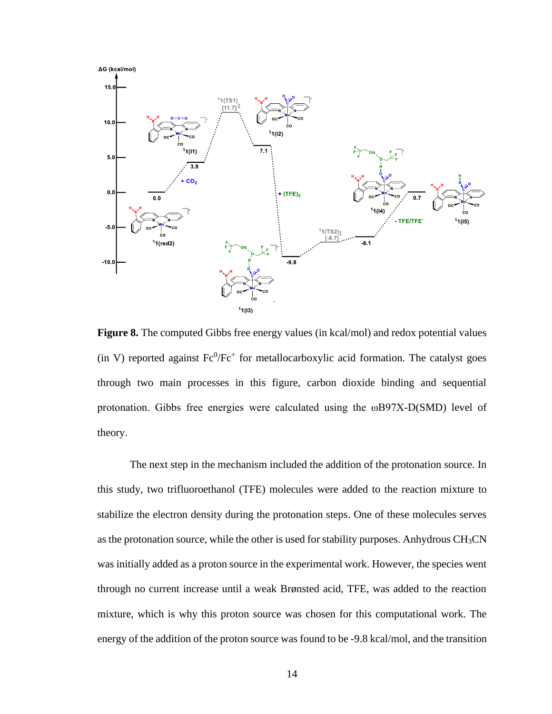

**Figure 8.** The computed Gibbs free energy values (in kcal/mol) and redox potential values (in V) reported against  $Fe^{0}/Fe^{+}$  for metallocarboxylic acid formation. The catalyst goes through two main processes in this figure, carbon dioxide binding and sequential protonation. Gibbs free energies were calculated using the ωB97X-D(SMD) level of theory.

The next step in the mechanism included the addition of the protonation source. In this study, two trifluoroethanol (TFE) molecules were added to the reaction mixture to stabilize the electron density during the protonation steps. One of these molecules serves as the protonation source, while the other is used for stability purposes. Anhydrous CH3CN was initially added as a proton source in the experimental work. However, the species went through no current increase until a weak Brønsted acid, TFE, was added to the reaction mixture, which is why this proton source was chosen for this computational work. The energy of the addition of the proton source was found to be -9.8 kcal/mol, and the transition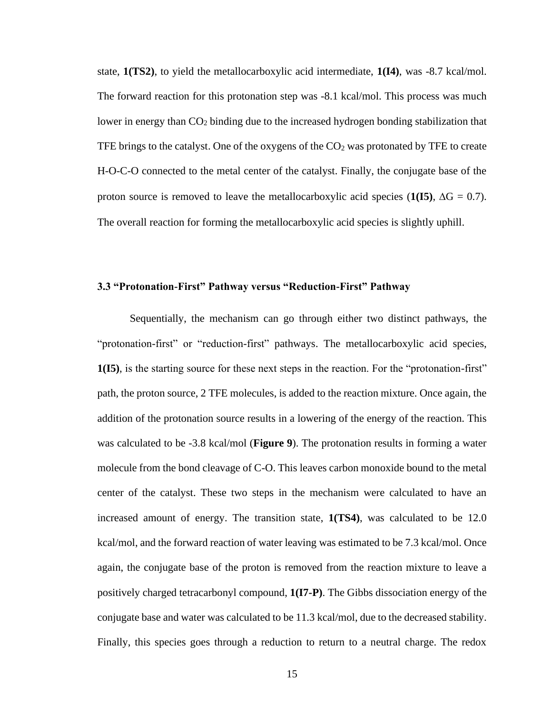state, **1(TS2)**, to yield the metallocarboxylic acid intermediate, **1(I4)**, was -8.7 kcal/mol. The forward reaction for this protonation step was -8.1 kcal/mol. This process was much lower in energy than  $CO<sub>2</sub>$  binding due to the increased hydrogen bonding stabilization that TFE brings to the catalyst. One of the oxygens of the  $CO<sub>2</sub>$  was protonated by TFE to create H-O-C-O connected to the metal center of the catalyst. Finally, the conjugate base of the proton source is removed to leave the metallocarboxylic acid species  $(1(I5), \Delta G = 0.7)$ . The overall reaction for forming the metallocarboxylic acid species is slightly uphill.

#### **3.3 "Protonation-First" Pathway versus "Reduction-First" Pathway**

Sequentially, the mechanism can go through either two distinct pathways, the "protonation-first" or "reduction-first" pathways. The metallocarboxylic acid species, **1(I5)**, is the starting source for these next steps in the reaction. For the "protonation-first" path, the proton source, 2 TFE molecules, is added to the reaction mixture. Once again, the addition of the protonation source results in a lowering of the energy of the reaction. This was calculated to be -3.8 kcal/mol (**Figure 9**). The protonation results in forming a water molecule from the bond cleavage of C-O. This leaves carbon monoxide bound to the metal center of the catalyst. These two steps in the mechanism were calculated to have an increased amount of energy. The transition state, **1(TS4)**, was calculated to be 12.0 kcal/mol, and the forward reaction of water leaving was estimated to be 7.3 kcal/mol. Once again, the conjugate base of the proton is removed from the reaction mixture to leave a positively charged tetracarbonyl compound, **1(I7-P)**. The Gibbs dissociation energy of the conjugate base and water was calculated to be 11.3 kcal/mol, due to the decreased stability. Finally, this species goes through a reduction to return to a neutral charge. The redox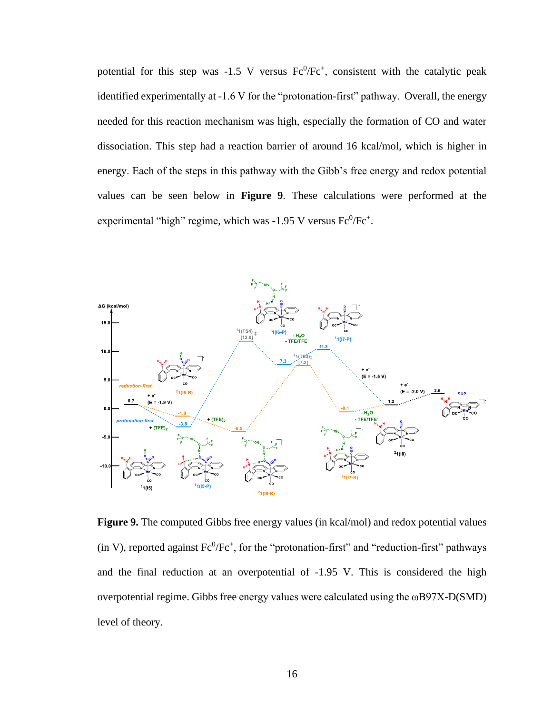potential for this step was  $-1.5$  V versus  $Fe^{0}/Fe^{+}$ , consistent with the catalytic peak identified experimentally at -1.6 V for the "protonation-first" pathway. Overall, the energy needed for this reaction mechanism was high, especially the formation of CO and water dissociation. This step had a reaction barrier of around 16 kcal/mol, which is higher in energy. Each of the steps in this pathway with the Gibb's free energy and redox potential values can be seen below in **Figure 9**. These calculations were performed at the experimental "high" regime, which was  $-1.95$  V versus  $Fe^{0}/Fe^{+}$ .



Figure 9. The computed Gibbs free energy values (in kcal/mol) and redox potential values  $(in V)$ , reported against  $Fc^0/Fc^+$ , for the "protonation-first" and "reduction-first" pathways and the final reduction at an overpotential of -1.95 V. This is considered the high overpotential regime. Gibbs free energy values were calculated using the ωB97X-D(SMD) level of theory.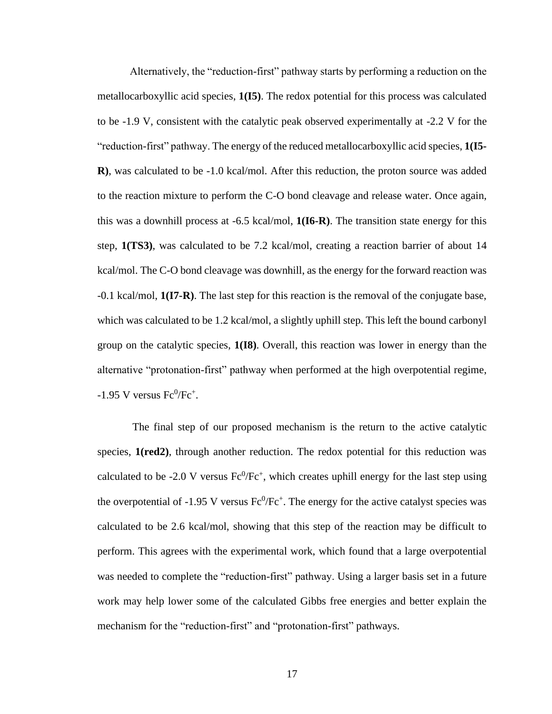Alternatively, the "reduction-first" pathway starts by performing a reduction on the metallocarboxyllic acid species, **1(I5)**. The redox potential for this process was calculated to be -1.9 V, consistent with the catalytic peak observed experimentally at -2.2 V for the "reduction-first" pathway. The energy of the reduced metallocarboxyllic acid species, **1(I5- R)**, was calculated to be -1.0 kcal/mol. After this reduction, the proton source was added to the reaction mixture to perform the C-O bond cleavage and release water. Once again, this was a downhill process at -6.5 kcal/mol, **1(I6-R)**. The transition state energy for this step, **1(TS3)**, was calculated to be 7.2 kcal/mol, creating a reaction barrier of about 14 kcal/mol. The C-O bond cleavage was downhill, as the energy for the forward reaction was -0.1 kcal/mol, **1(I7-R)**. The last step for this reaction is the removal of the conjugate base, which was calculated to be 1.2 kcal/mol, a slightly uphill step. This left the bound carbonyl group on the catalytic species, **1(I8)**. Overall, this reaction was lower in energy than the alternative "protonation-first" pathway when performed at the high overpotential regime,  $-1.95$  V versus  $Fe^{0}/Fe^{+}$ .

The final step of our proposed mechanism is the return to the active catalytic species, **1(red2)**, through another reduction. The redox potential for this reduction was calculated to be -2.0 V versus  $Fc^0/Fc^+$ , which creates uphill energy for the last step using the overpotential of -1.95 V versus  $Fe^{0}/Fe^{+}$ . The energy for the active catalyst species was calculated to be 2.6 kcal/mol, showing that this step of the reaction may be difficult to perform. This agrees with the experimental work, which found that a large overpotential was needed to complete the "reduction-first" pathway. Using a larger basis set in a future work may help lower some of the calculated Gibbs free energies and better explain the mechanism for the "reduction-first" and "protonation-first" pathways.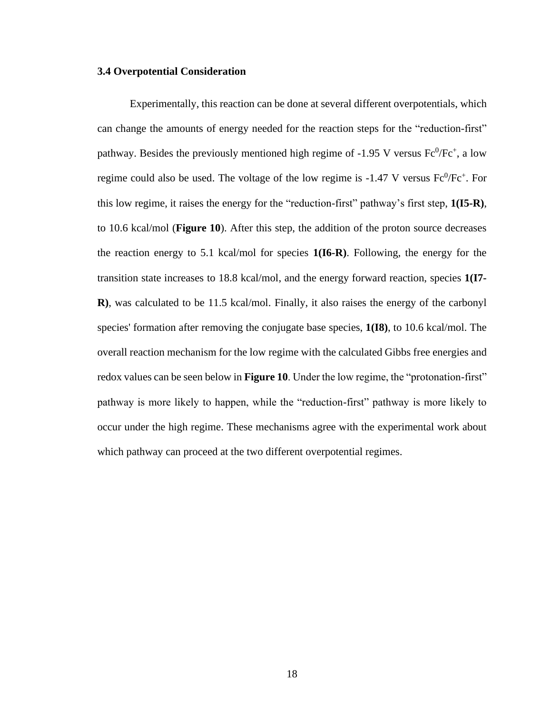#### **3.4 Overpotential Consideration**

Experimentally, this reaction can be done at several different overpotentials, which can change the amounts of energy needed for the reaction steps for the "reduction-first" pathway. Besides the previously mentioned high regime of -1.95 V versus  $Fe^{0}/Fe^{+}$ , a low regime could also be used. The voltage of the low regime is  $-1.47$  V versus  $Fe^{0}/Fe^{+}$ . For this low regime, it raises the energy for the "reduction-first" pathway's first step, **1(I5-R)**, to 10.6 kcal/mol (**Figure 10**). After this step, the addition of the proton source decreases the reaction energy to 5.1 kcal/mol for species **1(I6-R)**. Following, the energy for the transition state increases to 18.8 kcal/mol, and the energy forward reaction, species **1(I7- R)**, was calculated to be 11.5 kcal/mol. Finally, it also raises the energy of the carbonyl species' formation after removing the conjugate base species, **1(I8)**, to 10.6 kcal/mol. The overall reaction mechanism for the low regime with the calculated Gibbs free energies and redox values can be seen below in **Figure 10**. Under the low regime, the "protonation-first" pathway is more likely to happen, while the "reduction-first" pathway is more likely to occur under the high regime. These mechanisms agree with the experimental work about which pathway can proceed at the two different overpotential regimes.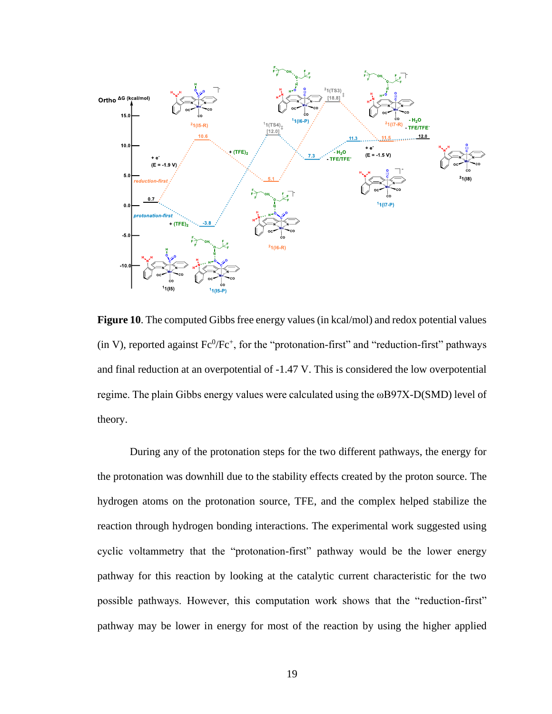

**Figure 10**. The computed Gibbs free energy values (in kcal/mol) and redox potential values  $(in V)$ , reported against  $Fc^0/Fc^+$ , for the "protonation-first" and "reduction-first" pathways and final reduction at an overpotential of -1.47 V. This is considered the low overpotential regime. The plain Gibbs energy values were calculated using the ωB97X-D(SMD) level of theory.

During any of the protonation steps for the two different pathways, the energy for the protonation was downhill due to the stability effects created by the proton source. The hydrogen atoms on the protonation source, TFE, and the complex helped stabilize the reaction through hydrogen bonding interactions. The experimental work suggested using cyclic voltammetry that the "protonation-first" pathway would be the lower energy pathway for this reaction by looking at the catalytic current characteristic for the two possible pathways. However, this computation work shows that the "reduction-first" pathway may be lower in energy for most of the reaction by using the higher applied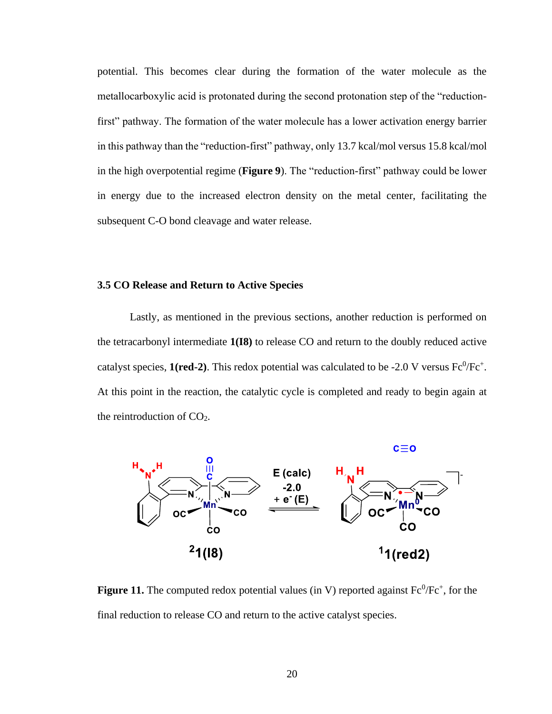potential. This becomes clear during the formation of the water molecule as the metallocarboxylic acid is protonated during the second protonation step of the "reductionfirst" pathway. The formation of the water molecule has a lower activation energy barrier in this pathway than the "reduction-first" pathway, only 13.7 kcal/mol versus 15.8 kcal/mol in the high overpotential regime (**Figure 9**). The "reduction-first" pathway could be lower in energy due to the increased electron density on the metal center, facilitating the subsequent C-O bond cleavage and water release.

#### **3.5 CO Release and Return to Active Species**

Lastly, as mentioned in the previous sections, another reduction is performed on the tetracarbonyl intermediate **1(I8)** to release CO and return to the doubly reduced active catalyst species,  $1(\text{red-2})$ . This redox potential was calculated to be -2.0 V versus  $\text{Fc}^0/\text{Fc}^+$ . At this point in the reaction, the catalytic cycle is completed and ready to begin again at the reintroduction of  $CO<sub>2</sub>$ .



**Figure 11.** The computed redox potential values (in V) reported against  $Fe^{0}/Fe^{+}$ , for the final reduction to release CO and return to the active catalyst species.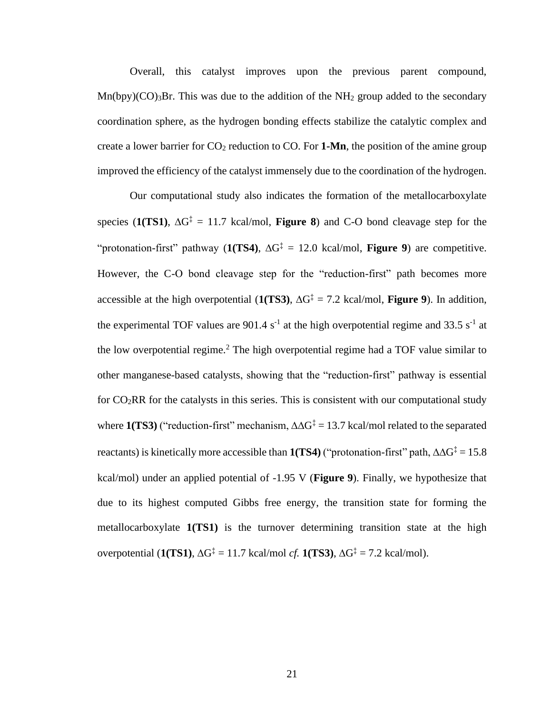Overall, this catalyst improves upon the previous parent compound,  $Mn(bpy)(CO)<sub>3</sub>Br$ . This was due to the addition of the NH<sub>2</sub> group added to the secondary coordination sphere, as the hydrogen bonding effects stabilize the catalytic complex and create a lower barrier for  $CO_2$  reduction to  $CO$ . For **1-Mn**, the position of the amine group improved the efficiency of the catalyst immensely due to the coordination of the hydrogen.

Our computational study also indicates the formation of the metallocarboxylate species (1(TS1),  $\Delta G^{\ddagger} = 11.7$  kcal/mol, **Figure 8**) and C-O bond cleavage step for the "protonation-first" pathway ( $1(TS4)$ ,  $\Delta G^{\ddagger} = 12.0$  kcal/mol, **Figure 9**) are competitive. However, the C-O bond cleavage step for the "reduction-first" path becomes more accessible at the high overpotential  $(1(TS3), \Delta G^{\ddagger} = 7.2 \text{ kcal/mol}, \text{Figure 9}).$  In addition, the experimental TOF values are 901.4  $s^{-1}$  at the high overpotential regime and 33.5  $s^{-1}$  at the low overpotential regime.<sup>2</sup> The high overpotential regime had a TOF value similar to other manganese-based catalysts, showing that the "reduction-first" pathway is essential for  $CO<sub>2</sub>RR$  for the catalysts in this series. This is consistent with our computational study where  $1(TS3)$  ("reduction-first" mechanism,  $\Delta\Delta G^{\ddagger} = 13.7$  kcal/mol related to the separated reactants) is kinetically more accessible than  $1(TS4)$  ("protonation-first" path,  $\Delta \Delta G^{\ddagger} = 15.8$ kcal/mol) under an applied potential of -1.95 V (**Figure 9**). Finally, we hypothesize that due to its highest computed Gibbs free energy, the transition state for forming the metallocarboxylate **1(TS1)** is the turnover determining transition state at the high overpotential  $(1(TS1), \Delta G^{\ddagger} = 11.7 \text{ kcal/mol } cf. 1(TS3), \Delta G^{\ddagger} = 7.2 \text{ kcal/mol}).$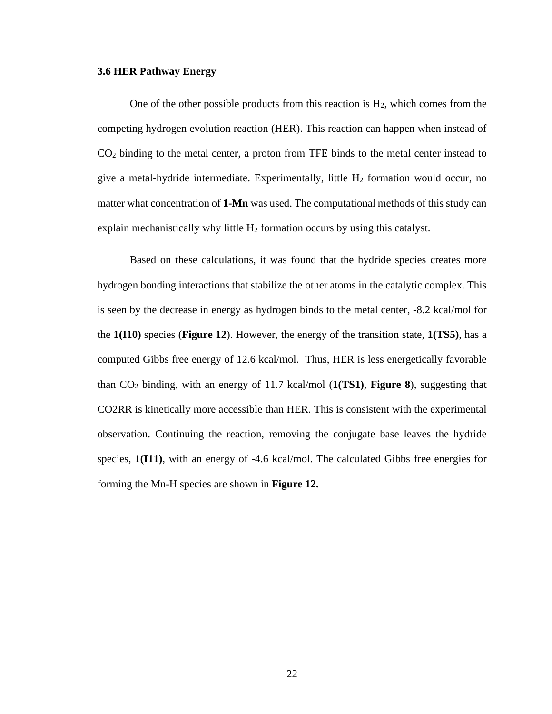#### **3.6 HER Pathway Energy**

One of the other possible products from this reaction is  $H_2$ , which comes from the competing hydrogen evolution reaction (HER). This reaction can happen when instead of CO<sup>2</sup> binding to the metal center, a proton from TFE binds to the metal center instead to give a metal-hydride intermediate. Experimentally, little H<sup>2</sup> formation would occur, no matter what concentration of **1-Mn** was used. The computational methods of this study can explain mechanistically why little  $H_2$  formation occurs by using this catalyst.

Based on these calculations, it was found that the hydride species creates more hydrogen bonding interactions that stabilize the other atoms in the catalytic complex. This is seen by the decrease in energy as hydrogen binds to the metal center, -8.2 kcal/mol for the **1(I10)** species (**Figure 12**). However, the energy of the transition state, **1(TS5)**, has a computed Gibbs free energy of 12.6 kcal/mol. Thus, HER is less energetically favorable than CO<sup>2</sup> binding, with an energy of 11.7 kcal/mol (**1(TS1)**, **Figure 8**), suggesting that CO2RR is kinetically more accessible than HER. This is consistent with the experimental observation. Continuing the reaction, removing the conjugate base leaves the hydride species, **1(I11)**, with an energy of -4.6 kcal/mol. The calculated Gibbs free energies for forming the Mn-H species are shown in **Figure 12.**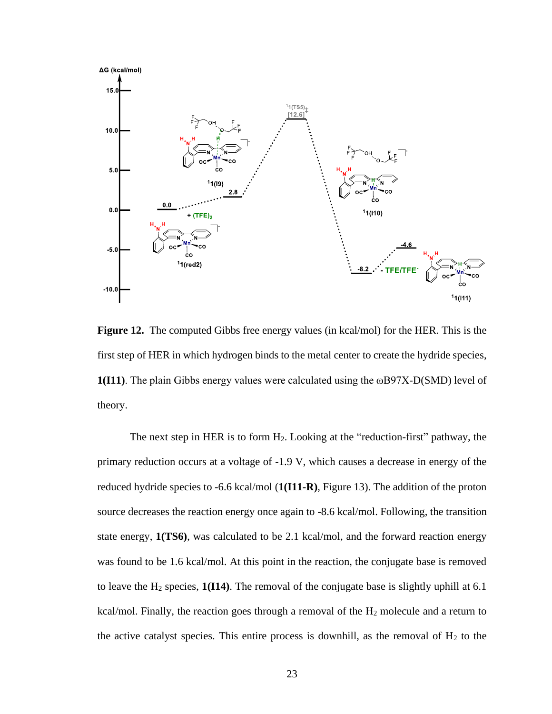

**Figure 12.** The computed Gibbs free energy values (in kcal/mol) for the HER. This is the first step of HER in which hydrogen binds to the metal center to create the hydride species, **1(I11)**. The plain Gibbs energy values were calculated using the ωB97X-D(SMD) level of theory.

The next step in HER is to form  $H_2$ . Looking at the "reduction-first" pathway, the primary reduction occurs at a voltage of -1.9 V, which causes a decrease in energy of the reduced hydride species to -6.6 kcal/mol (**1(I11-R)**, Figure 13). The addition of the proton source decreases the reaction energy once again to -8.6 kcal/mol. Following, the transition state energy, **1(TS6)**, was calculated to be 2.1 kcal/mol, and the forward reaction energy was found to be 1.6 kcal/mol. At this point in the reaction, the conjugate base is removed to leave the H<sup>2</sup> species, **1(I14)**. The removal of the conjugate base is slightly uphill at 6.1 kcal/mol. Finally, the reaction goes through a removal of the H<sub>2</sub> molecule and a return to the active catalyst species. This entire process is downhill, as the removal of  $H_2$  to the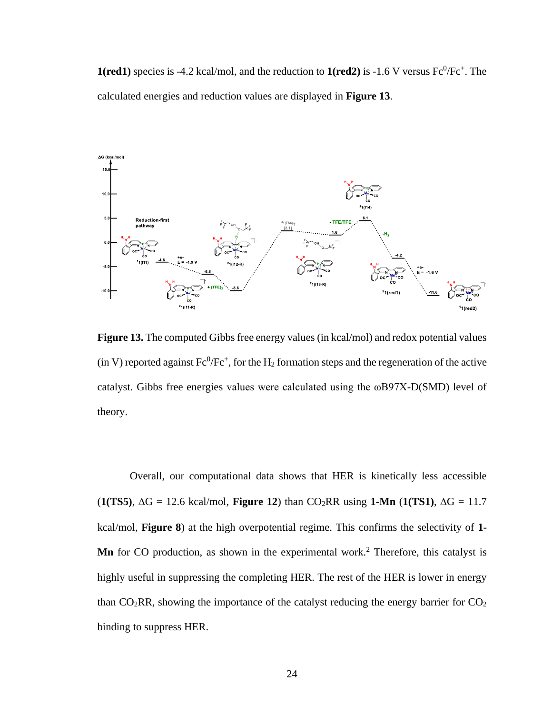**1(red1)** species is -4.2 kcal/mol, and the reduction to  $1(\text{red2})$  is -1.6 V versus  $\text{Fc}^0/\text{Fc}^+$ . The calculated energies and reduction values are displayed in **Figure 13**.



Figure 13. The computed Gibbs free energy values (in kcal/mol) and redox potential values (in V) reported against  $Fe^{0}/Fe^{+}$ , for the H<sub>2</sub> formation steps and the regeneration of the active catalyst. Gibbs free energies values were calculated using the ωB97X-D(SMD) level of theory.

Overall, our computational data shows that HER is kinetically less accessible  $(1(TSS), \Delta G = 12.6 \text{ kcal/mol}, \text{Figure 12})$  than  $CO_2RR$  using 1-Mn  $(1(TS1), \Delta G = 11.7 \text{ m})$ kcal/mol, **Figure 8**) at the high overpotential regime. This confirms the selectivity of **1- Mn** for CO production, as shown in the experimental work.<sup>2</sup> Therefore, this catalyst is highly useful in suppressing the completing HER. The rest of the HER is lower in energy than  $CO<sub>2</sub>RR$ , showing the importance of the catalyst reducing the energy barrier for  $CO<sub>2</sub>$ binding to suppress HER.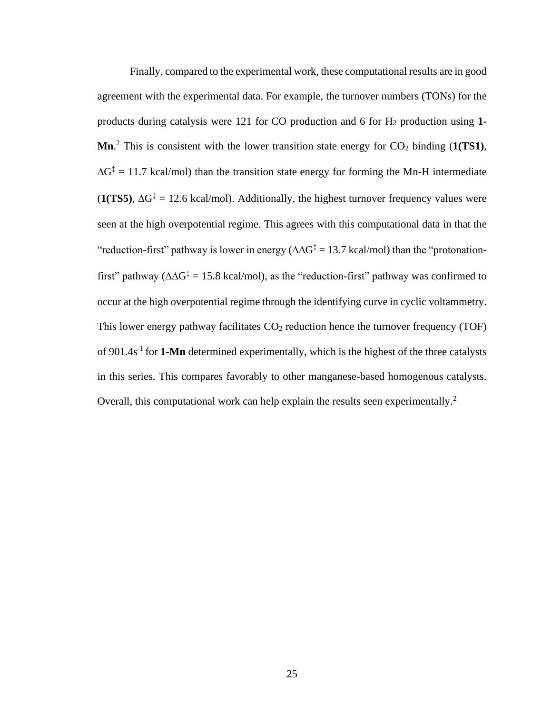Finally, compared to the experimental work, these computational results are in good agreement with the experimental data. For example, the turnover numbers (TONs) for the products during catalysis were 121 for CO production and 6 for H<sup>2</sup> production using **1- Mn**.<sup>2</sup> This is consistent with the lower transition state energy for  $CO_2$  binding (1(TS1),  $\Delta G^{\ddagger} = 11.7$  kcal/mol) than the transition state energy for forming the Mn-H intermediate  $(1(TSS), \Delta G^{\ddagger} = 12.6 \text{ kcal/mol})$ . Additionally, the highest turnover frequency values were seen at the high overpotential regime. This agrees with this computational data in that the "reduction-first" pathway is lower in energy ( $\Delta \Delta G^{\ddagger} = 13.7$  kcal/mol) than the "protonationfirst" pathway ( $\Delta \Delta G^{\ddagger} = 15.8$  kcal/mol), as the "reduction-first" pathway was confirmed to occur at the high overpotential regime through the identifying curve in cyclic voltammetry. This lower energy pathway facilitates  $CO<sub>2</sub>$  reduction hence the turnover frequency (TOF) of 901.4s<sup>-1</sup> for **1-Mn** determined experimentally, which is the highest of the three catalysts in this series. This compares favorably to other manganese-based homogenous catalysts. Overall, this computational work can help explain the results seen experimentally.<sup>2</sup>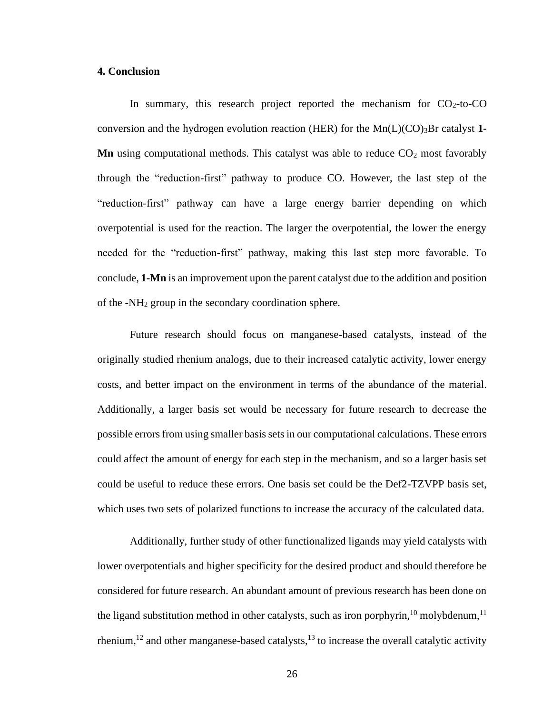#### **4. Conclusion**

In summary, this research project reported the mechanism for  $CO<sub>2</sub>$ -to-CO conversion and the hydrogen evolution reaction (HER) for the Mn(L)(CO)3Br catalyst **1- Mn** using computational methods. This catalyst was able to reduce  $CO<sub>2</sub>$  most favorably through the "reduction-first" pathway to produce CO. However, the last step of the "reduction-first" pathway can have a large energy barrier depending on which overpotential is used for the reaction. The larger the overpotential, the lower the energy needed for the "reduction-first" pathway, making this last step more favorable. To conclude, **1-Mn** is an improvement upon the parent catalyst due to the addition and position of the -NH<sup>2</sup> group in the secondary coordination sphere.

Future research should focus on manganese-based catalysts, instead of the originally studied rhenium analogs, due to their increased catalytic activity, lower energy costs, and better impact on the environment in terms of the abundance of the material. Additionally, a larger basis set would be necessary for future research to decrease the possible errors from using smaller basis sets in our computational calculations. These errors could affect the amount of energy for each step in the mechanism, and so a larger basis set could be useful to reduce these errors. One basis set could be the Def2-TZVPP basis set, which uses two sets of polarized functions to increase the accuracy of the calculated data.

Additionally, further study of other functionalized ligands may yield catalysts with lower overpotentials and higher specificity for the desired product and should therefore be considered for future research. An abundant amount of previous research has been done on the ligand substitution method in other catalysts, such as iron porphyrin,  $10$  molybdenum,  $11$ rhenium,<sup>12</sup> and other manganese-based catalysts,<sup>13</sup> to increase the overall catalytic activity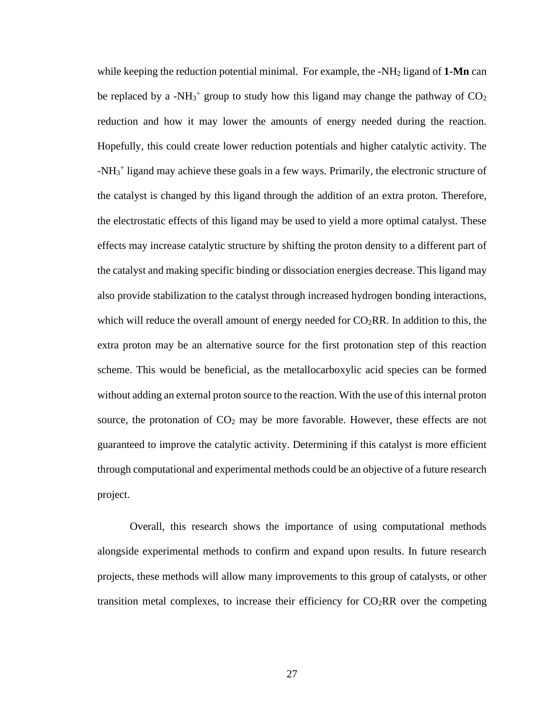while keeping the reduction potential minimal. For example, the -NH<sup>2</sup> ligand of **1-Mn** can be replaced by a -NH<sub>3</sub><sup>+</sup> group to study how this ligand may change the pathway of  $CO<sub>2</sub>$ reduction and how it may lower the amounts of energy needed during the reaction. Hopefully, this could create lower reduction potentials and higher catalytic activity. The -NH<sub>3</sub><sup>+</sup> ligand may achieve these goals in a few ways. Primarily, the electronic structure of the catalyst is changed by this ligand through the addition of an extra proton. Therefore, the electrostatic effects of this ligand may be used to yield a more optimal catalyst. These effects may increase catalytic structure by shifting the proton density to a different part of the catalyst and making specific binding or dissociation energies decrease. This ligand may also provide stabilization to the catalyst through increased hydrogen bonding interactions, which will reduce the overall amount of energy needed for  $CO<sub>2</sub>RR$ . In addition to this, the extra proton may be an alternative source for the first protonation step of this reaction scheme. This would be beneficial, as the metallocarboxylic acid species can be formed without adding an external proton source to the reaction. With the use of this internal proton source, the protonation of  $CO<sub>2</sub>$  may be more favorable. However, these effects are not guaranteed to improve the catalytic activity. Determining if this catalyst is more efficient through computational and experimental methods could be an objective of a future research project.

Overall, this research shows the importance of using computational methods alongside experimental methods to confirm and expand upon results. In future research projects, these methods will allow many improvements to this group of catalysts, or other transition metal complexes, to increase their efficiency for  $CO<sub>2</sub>RR$  over the competing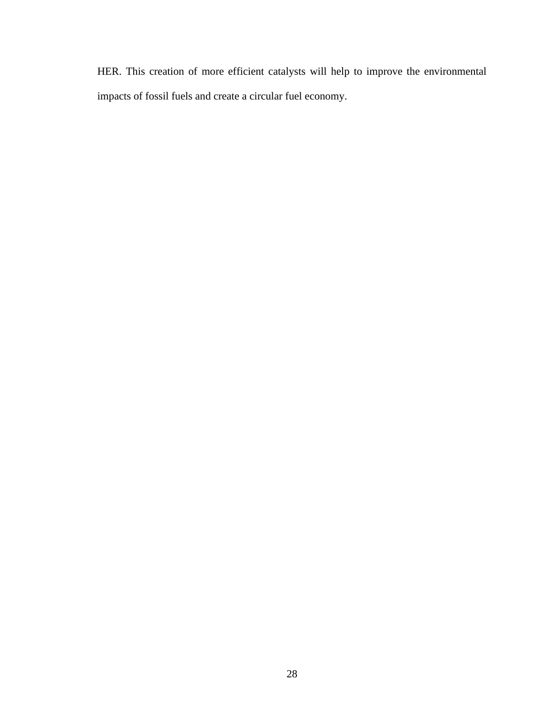HER. This creation of more efficient catalysts will help to improve the environmental impacts of fossil fuels and create a circular fuel economy.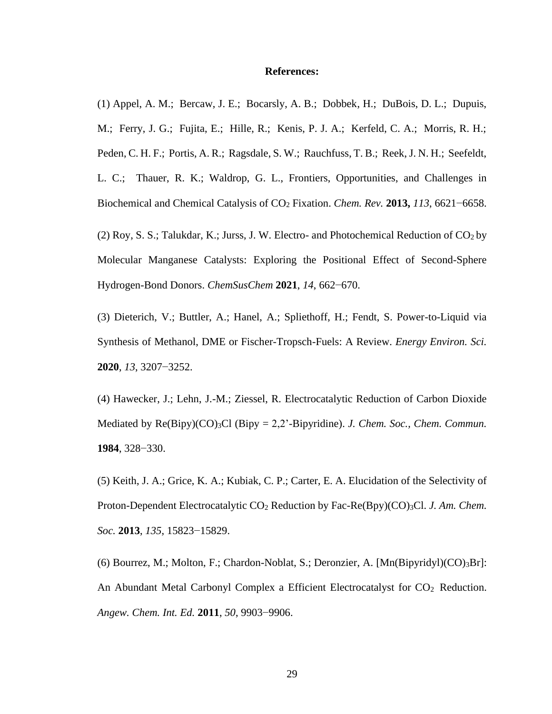#### **References:**

(1) Appel, A. M.; Bercaw, J. E.; Bocarsly, A. B.; Dobbek, H.; DuBois, D. L.; Dupuis, M.; Ferry, J. G.; Fujita, E.; Hille, R.; Kenis, P. J. A.; Kerfeld, C. A.; Morris, R. H.; Peden, C. H. F.; Portis, A. R.; Ragsdale, S. W.; Rauchfuss, T. B.; Reek, J. N. H.; Seefeldt, L. C.; Thauer, R. K.; Waldrop, G. L., Frontiers, Opportunities, and Challenges in Biochemical and Chemical Catalysis of CO<sup>2</sup> Fixation. *Chem. Rev.* **2013,** *113*, 6621−6658.

(2) Roy, S. S.; Talukdar, K.; Jurss, J. W. Electro- and Photochemical Reduction of  $CO<sub>2</sub>$  by Molecular Manganese Catalysts: Exploring the Positional Effect of Second-Sphere Hydrogen-Bond Donors. *ChemSusChem* **2021**, *14*, 662−670.

(3) Dieterich, V.; Buttler, A.; Hanel, A.; Spliethoff, H.; Fendt, S. Power-to-Liquid via Synthesis of Methanol, DME or Fischer-Tropsch-Fuels: A Review. *Energy Environ. Sci.* **2020**, *13*, 3207−3252.

(4) Hawecker, J.; Lehn, J.-M.; Ziessel, R. Electrocatalytic Reduction of Carbon Dioxide Mediated by Re(Bipy)(CO)<sub>3</sub>Cl (Bipy = 2,2'-Bipyridine). *J. Chem. Soc., Chem. Commun.* **1984**, 328−330.

(5) Keith, J. A.; Grice, K. A.; Kubiak, C. P.; Carter, E. A. Elucidation of the Selectivity of Proton-Dependent Electrocatalytic CO<sub>2</sub> Reduction by Fac-Re(Bpy)(CO)<sub>3</sub>Cl. *J. Am. Chem. Soc.* **2013**, *135*, 15823−15829.

(6) Bourrez, M.; Molton, F.; Chardon-Noblat, S.; Deronzier, A. [Mn(Bipyridyl)(CO)3Br]: An Abundant Metal Carbonyl Complex a Efficient Electrocatalyst for  $CO<sub>2</sub>$  Reduction. *Angew. Chem. Int. Ed.* **2011**, *50*, 9903−9906.